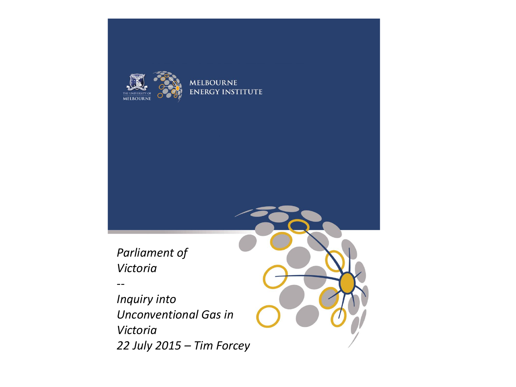

**MELBOURNE ENERGY INSTITUTE** 

*Parliament of Victoria*

*--*

*Inquiry into Unconventional Gas in Victoria 22 July 2015 – Tim Forcey*

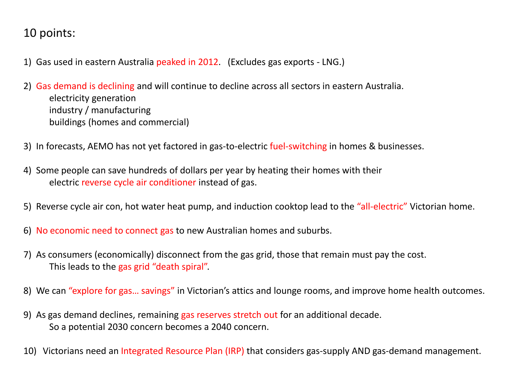### 10 points:

- 1) Gas used in eastern Australia peaked in 2012. (Excludes gas exports LNG.)
- 2) Gas demand is declining and will continue to decline across all sectors in eastern Australia. electricity generation industry / manufacturing buildings (homes and commercial)
- 3) In forecasts, AEMO has not yet factored in gas-to-electric fuel-switching in homes & businesses.
- 4) Some people can save hundreds of dollars per year by heating their homes with their electric reverse cycle air conditioner instead of gas.
- 5) Reverse cycle air con, hot water heat pump, and induction cooktop lead to the "all-electric" Victorian home.
- 6) No economic need to connect gas to new Australian homes and suburbs.
- 7) As consumers (economically) disconnect from the gas grid, those that remain must pay the cost. This leads to the gas grid "death spiral".
- 8) We can "explore for gas... savings" in Victorian's attics and lounge rooms, and improve home health outcomes.
- 9) As gas demand declines, remaining gas reserves stretch out for an additional decade. So a potential 2030 concern becomes a 2040 concern.
- 10) Victorians need an Integrated Resource Plan (IRP) that considers gas-supply AND gas-demand management.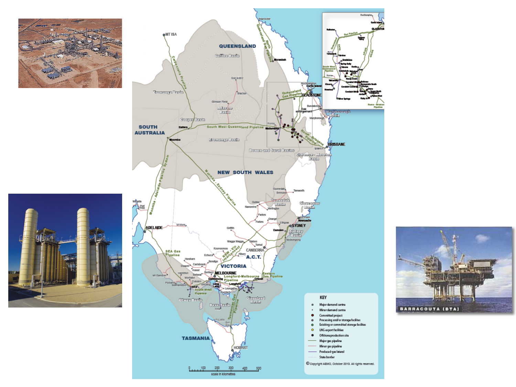





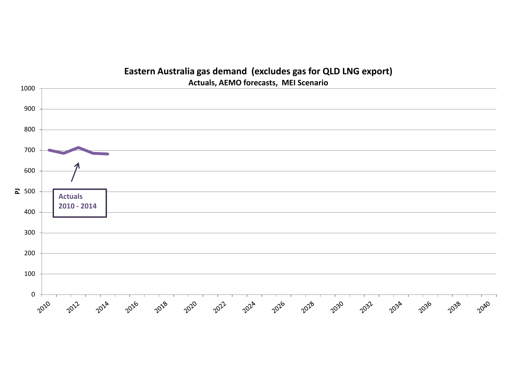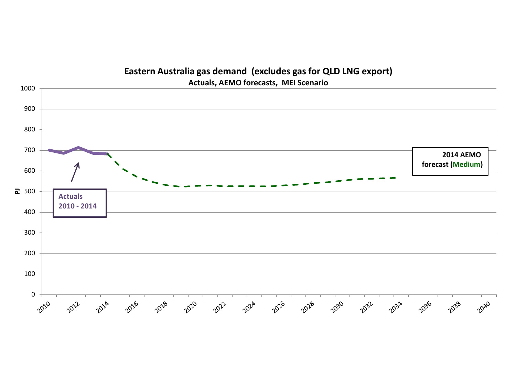

#### **Eastern Australia gas demand (excludes gas for QLD LNG export)**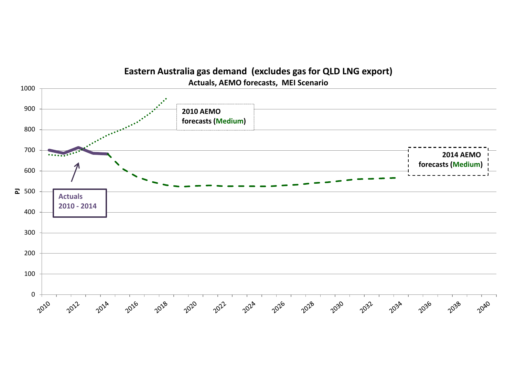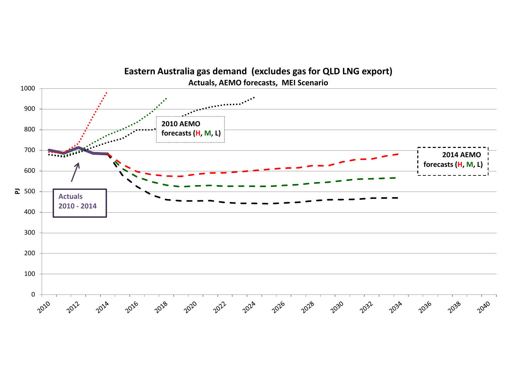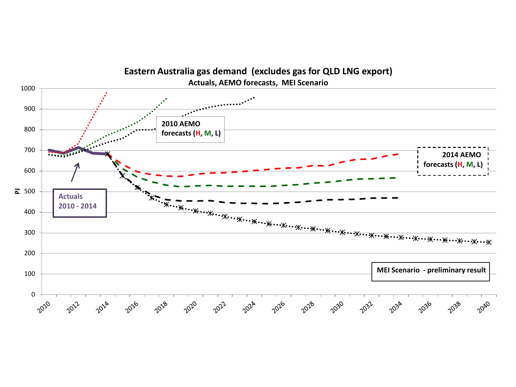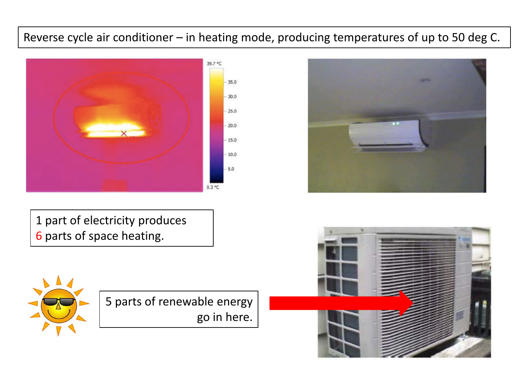## Reverse cycle air conditioner – in heating mode, producing temperatures of up to 50 deg C.



1 part of electricity produces 6 parts of space heating.





5 parts of renewable energy go in here.

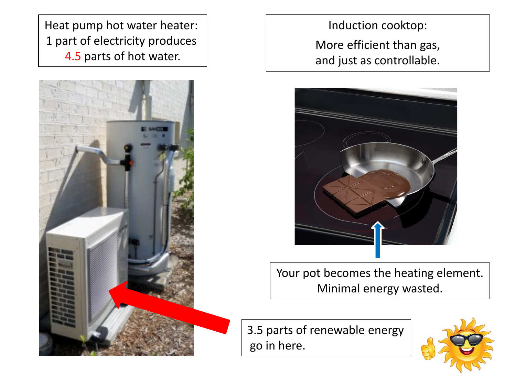Heat pump hot water heater: 1 part of electricity produces 4.5 parts of hot water.



Induction cooktop: More efficient than gas, and just as controllable.



Your pot becomes the heating element. Minimal energy wasted.

3.5 parts of renewable energy go in here.

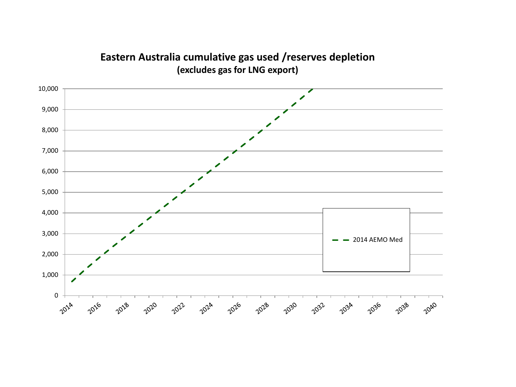

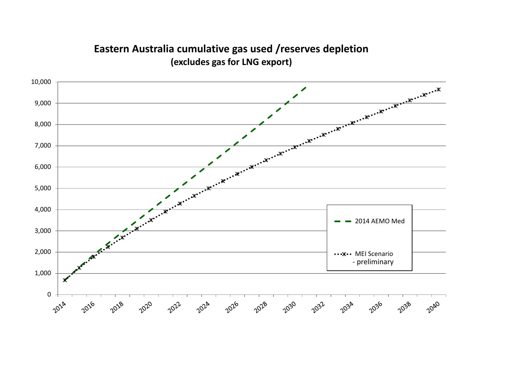

#### **Eastern Australia cumulative gas used /reserves depletion (excludes gas for LNG export)**